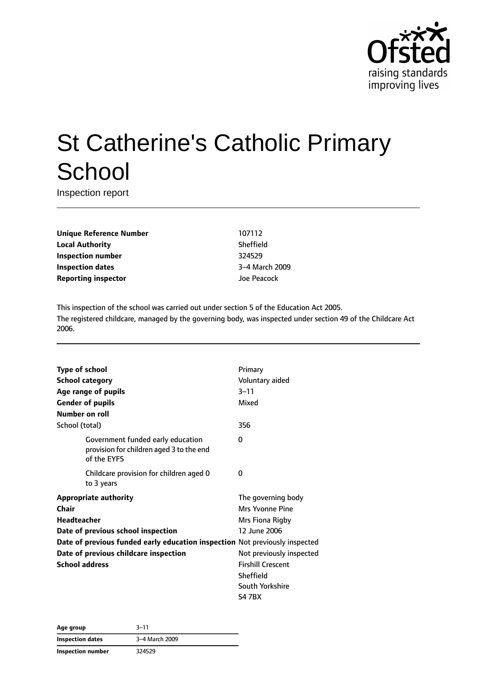

# St Catherine's Catholic Primary **School**

Inspection report

**Unique Reference Number** 107112 **Local Authority** Sheffield **Inspection number** 324529 **Inspection dates** 3–4 March 2009 **Reporting inspector and a structure of the US** and Joe Peacock

This inspection of the school was carried out under section 5 of the Education Act 2005. The registered childcare, managed by the governing body, was inspected under section 49 of the Childcare Act 2006.

| Type of school                                                              |                                                                                              | Primary                  |
|-----------------------------------------------------------------------------|----------------------------------------------------------------------------------------------|--------------------------|
| <b>School category</b>                                                      |                                                                                              | Voluntary aided          |
|                                                                             | Age range of pupils                                                                          | 3–11                     |
|                                                                             | <b>Gender of pupils</b>                                                                      | Mixed                    |
| Number on roll                                                              |                                                                                              |                          |
| School (total)                                                              |                                                                                              | 356                      |
|                                                                             | Government funded early education<br>provision for children aged 3 to the end<br>of the EYFS | 0                        |
|                                                                             | Childcare provision for children aged 0<br>to 3 years                                        | 0                        |
| <b>Appropriate authority</b>                                                |                                                                                              | The governing body       |
| Chair                                                                       |                                                                                              | Mrs Yvonne Pine          |
| <b>Headteacher</b>                                                          |                                                                                              | Mrs Fiona Rigby          |
|                                                                             | Date of previous school inspection                                                           | 12 June 2006             |
| Date of previous funded early education inspection Not previously inspected |                                                                                              |                          |
| Date of previous childcare inspection                                       |                                                                                              | Not previously inspected |
| <b>School address</b>                                                       |                                                                                              | <b>Firshill Crescent</b> |
|                                                                             |                                                                                              | <b>Sheffield</b>         |
|                                                                             |                                                                                              | South Yorkshire          |
|                                                                             |                                                                                              | S4 7BX                   |

| Age group               | 3–11           |
|-------------------------|----------------|
| <b>Inspection dates</b> | 3-4 March 2009 |
| Inspection number       | 324529         |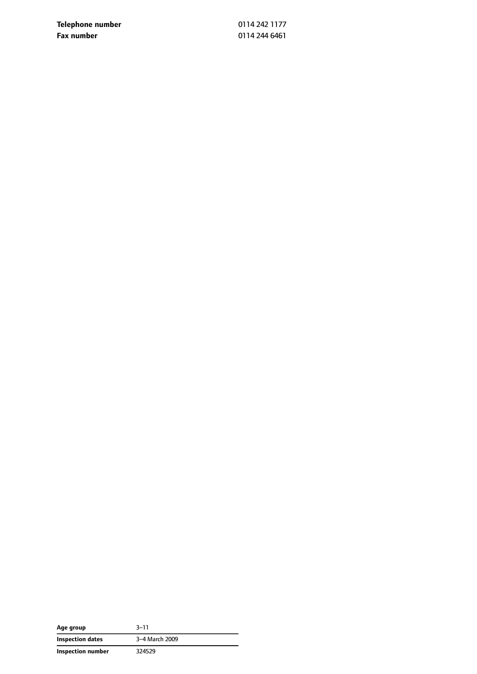**Telephone number** 0114 242 1177 **Fax number** 0114 244 6461

| Age group         | 3–11           |
|-------------------|----------------|
| Inspection dates  | 3-4 March 2009 |
| Inspection number | 324529         |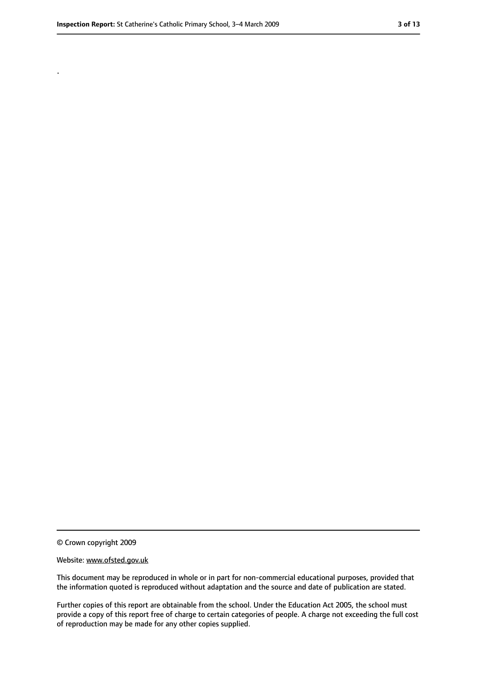.

#### Website: www.ofsted.gov.uk

This document may be reproduced in whole or in part for non-commercial educational purposes, provided that the information quoted is reproduced without adaptation and the source and date of publication are stated.

Further copies of this report are obtainable from the school. Under the Education Act 2005, the school must provide a copy of this report free of charge to certain categories of people. A charge not exceeding the full cost of reproduction may be made for any other copies supplied.

<sup>©</sup> Crown copyright 2009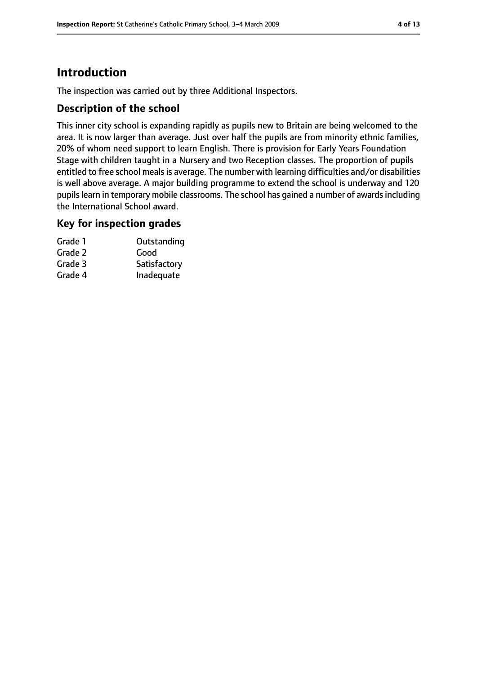# **Introduction**

The inspection was carried out by three Additional Inspectors.

## **Description of the school**

This inner city school is expanding rapidly as pupils new to Britain are being welcomed to the area. It is now larger than average. Just over half the pupils are from minority ethnic families, 20% of whom need support to learn English. There is provision for Early Years Foundation Stage with children taught in a Nursery and two Reception classes. The proportion of pupils entitled to free school meals is average. The number with learning difficulties and/or disabilities is well above average. A major building programme to extend the school is underway and 120 pupils learn in temporary mobile classrooms. The school has gained a number of awards including the International School award.

## **Key for inspection grades**

| Grade 1 | Outstanding  |
|---------|--------------|
| Grade 2 | Good         |
| Grade 3 | Satisfactory |
| Grade 4 | Inadequate   |
|         |              |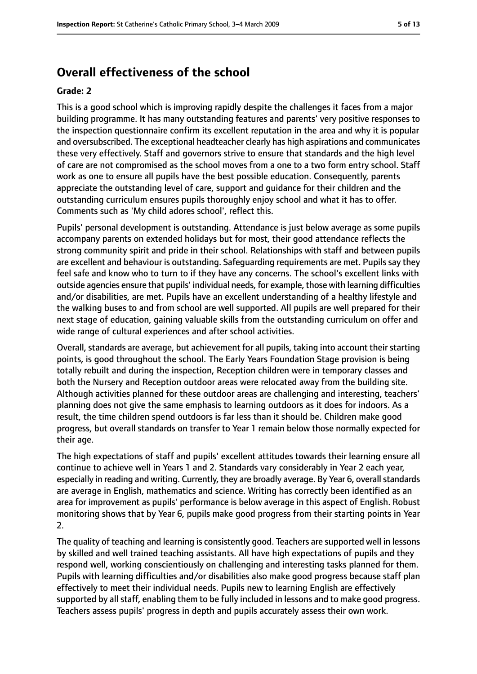# **Overall effectiveness of the school**

#### **Grade: 2**

This is a good school which is improving rapidly despite the challenges it faces from a major building programme. It has many outstanding features and parents' very positive responses to the inspection questionnaire confirm its excellent reputation in the area and why it is popular and oversubscribed. The exceptional headteacher clearly has high aspirations and communicates these very effectively. Staff and governors strive to ensure that standards and the high level of care are not compromised as the school moves from a one to a two form entry school. Staff work as one to ensure all pupils have the best possible education. Consequently, parents appreciate the outstanding level of care, support and guidance for their children and the outstanding curriculum ensures pupils thoroughly enjoy school and what it has to offer. Comments such as 'My child adores school', reflect this.

Pupils' personal development is outstanding. Attendance is just below average as some pupils accompany parents on extended holidays but for most, their good attendance reflects the strong community spirit and pride in their school. Relationships with staff and between pupils are excellent and behaviour is outstanding. Safeguarding requirements are met. Pupils say they feel safe and know who to turn to if they have any concerns. The school's excellent links with outside agencies ensure that pupils' individual needs, for example, those with learning difficulties and/or disabilities, are met. Pupils have an excellent understanding of a healthy lifestyle and the walking buses to and from school are well supported. All pupils are well prepared for their next stage of education, gaining valuable skills from the outstanding curriculum on offer and wide range of cultural experiences and after school activities.

Overall, standards are average, but achievement for all pupils, taking into account their starting points, is good throughout the school. The Early Years Foundation Stage provision is being totally rebuilt and during the inspection, Reception children were in temporary classes and both the Nursery and Reception outdoor areas were relocated away from the building site. Although activities planned for these outdoor areas are challenging and interesting, teachers' planning does not give the same emphasis to learning outdoors as it does for indoors. As a result, the time children spend outdoors is far less than it should be. Children make good progress, but overall standards on transfer to Year 1 remain below those normally expected for their age.

The high expectations of staff and pupils' excellent attitudes towards their learning ensure all continue to achieve well in Years 1 and 2. Standards vary considerably in Year 2 each year, especially in reading and writing. Currently, they are broadly average. By Year 6, overall standards are average in English, mathematics and science. Writing has correctly been identified as an area for improvement as pupils' performance is below average in this aspect of English. Robust monitoring shows that by Year 6, pupils make good progress from their starting points in Year 2.

The quality of teaching and learning is consistently good. Teachers are supported well in lessons by skilled and well trained teaching assistants. All have high expectations of pupils and they respond well, working conscientiously on challenging and interesting tasks planned for them. Pupils with learning difficulties and/or disabilities also make good progress because staff plan effectively to meet their individual needs. Pupils new to learning English are effectively supported by all staff, enabling them to be fully included in lessons and to make good progress. Teachers assess pupils' progress in depth and pupils accurately assess their own work.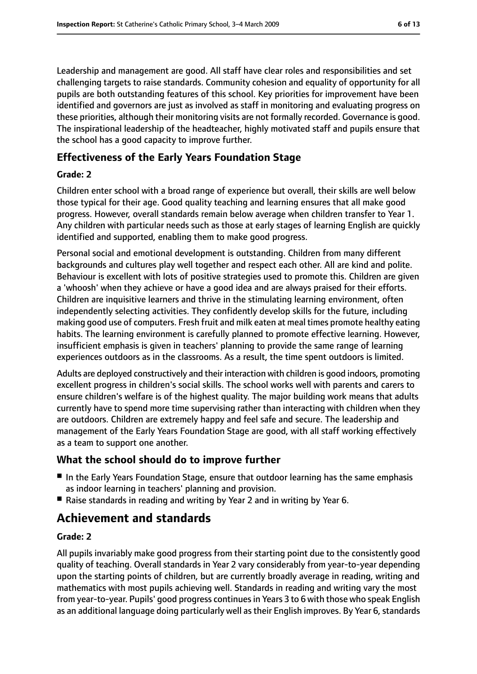Leadership and management are good. All staff have clear roles and responsibilities and set challenging targets to raise standards. Community cohesion and equality of opportunity for all pupils are both outstanding features of this school. Key priorities for improvement have been identified and governors are just as involved as staff in monitoring and evaluating progress on these priorities, although their monitoring visits are not formally recorded. Governance is good. The inspirational leadership of the headteacher, highly motivated staff and pupils ensure that the school has a good capacity to improve further.

# **Effectiveness of the Early Years Foundation Stage**

### **Grade: 2**

Children enter school with a broad range of experience but overall, their skills are well below those typical for their age. Good quality teaching and learning ensures that all make good progress. However, overall standards remain below average when children transfer to Year 1. Any children with particular needs such as those at early stages of learning English are quickly identified and supported, enabling them to make good progress.

Personal social and emotional development is outstanding. Children from many different backgrounds and cultures play well together and respect each other. All are kind and polite. Behaviour is excellent with lots of positive strategies used to promote this. Children are given a 'whoosh' when they achieve or have a good idea and are always praised for their efforts. Children are inquisitive learners and thrive in the stimulating learning environment, often independently selecting activities. They confidently develop skills for the future, including making good use of computers. Fresh fruit and milk eaten at meal times promote healthy eating habits. The learning environment is carefully planned to promote effective learning. However, insufficient emphasis is given in teachers' planning to provide the same range of learning experiences outdoors as in the classrooms. As a result, the time spent outdoors is limited.

Adults are deployed constructively and their interaction with children is good indoors, promoting excellent progress in children's social skills. The school works well with parents and carers to ensure children's welfare is of the highest quality. The major building work means that adults currently have to spend more time supervising rather than interacting with children when they are outdoors. Children are extremely happy and feel safe and secure. The leadership and management of the Early Years Foundation Stage are good, with all staff working effectively as a team to support one another.

# **What the school should do to improve further**

- In the Early Years Foundation Stage, ensure that outdoor learning has the same emphasis as indoor learning in teachers' planning and provision.
- Raise standards in reading and writing by Year 2 and in writing by Year 6.

# **Achievement and standards**

## **Grade: 2**

All pupils invariably make good progress from their starting point due to the consistently good quality of teaching. Overall standards in Year 2 vary considerably from year-to-year depending upon the starting points of children, but are currently broadly average in reading, writing and mathematics with most pupils achieving well. Standards in reading and writing vary the most from year-to-year. Pupils' good progress continuesin Years 3 to 6 with those who speak English as an additional language doing particularly well as their English improves. By Year 6, standards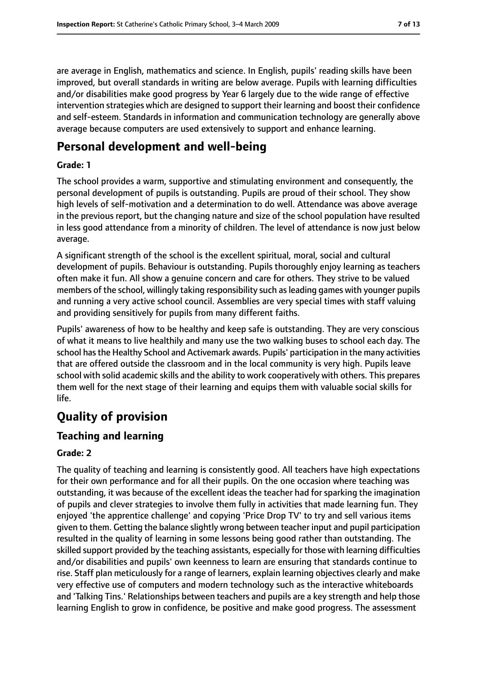are average in English, mathematics and science. In English, pupils' reading skills have been improved, but overall standards in writing are below average. Pupils with learning difficulties and/or disabilities make good progress by Year 6 largely due to the wide range of effective intervention strategies which are designed to support their learning and boost their confidence and self-esteem. Standards in information and communication technology are generally above average because computers are used extensively to support and enhance learning.

# **Personal development and well-being**

#### **Grade: 1**

The school provides a warm, supportive and stimulating environment and consequently, the personal development of pupils is outstanding. Pupils are proud of their school. They show high levels of self-motivation and a determination to do well. Attendance was above average in the previous report, but the changing nature and size of the school population have resulted in less good attendance from a minority of children. The level of attendance is now just below average.

A significant strength of the school is the excellent spiritual, moral, social and cultural development of pupils. Behaviour is outstanding. Pupils thoroughly enjoy learning as teachers often make it fun. All show a genuine concern and care for others. They strive to be valued members of the school, willingly taking responsibility such asleading games with younger pupils and running a very active school council. Assemblies are very special times with staff valuing and providing sensitively for pupils from many different faiths.

Pupils' awareness of how to be healthy and keep safe is outstanding. They are very conscious of what it means to live healthily and many use the two walking buses to school each day. The school hasthe Healthy School and Activemark awards. Pupils' participation in the many activities that are offered outside the classroom and in the local community is very high. Pupils leave school with solid academic skills and the ability to work cooperatively with others. This prepares them well for the next stage of their learning and equips them with valuable social skills for life.

# **Quality of provision**

# **Teaching and learning**

#### **Grade: 2**

The quality of teaching and learning is consistently good. All teachers have high expectations for their own performance and for all their pupils. On the one occasion where teaching was outstanding, it was because of the excellent ideas the teacher had for sparking the imagination of pupils and clever strategies to involve them fully in activities that made learning fun. They enjoyed 'the apprentice challenge' and copying 'Price Drop TV' to try and sell various items given to them. Getting the balance slightly wrong between teacher input and pupil participation resulted in the quality of learning in some lessons being good rather than outstanding. The skilled support provided by the teaching assistants, especially for those with learning difficulties and/or disabilities and pupils' own keenness to learn are ensuring that standards continue to rise. Staff plan meticulously for a range of learners, explain learning objectives clearly and make very effective use of computers and modern technology such as the interactive whiteboards and 'Talking Tins.' Relationships between teachers and pupils are a key strength and help those learning English to grow in confidence, be positive and make good progress. The assessment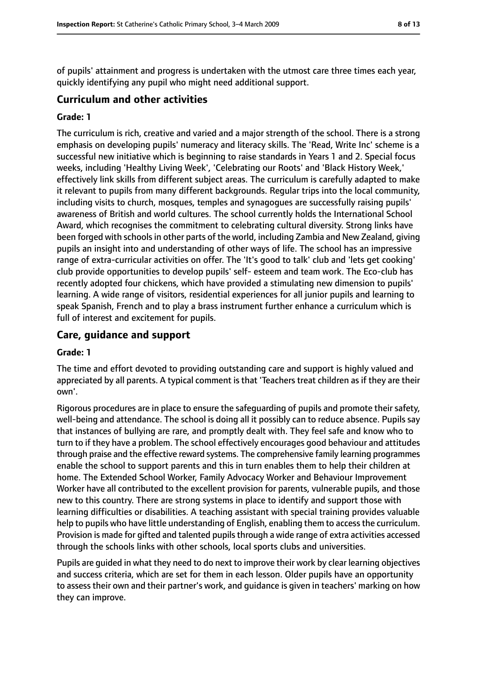of pupils' attainment and progress is undertaken with the utmost care three times each year, quickly identifying any pupil who might need additional support.

## **Curriculum and other activities**

#### **Grade: 1**

The curriculum is rich, creative and varied and a major strength of the school. There is a strong emphasis on developing pupils' numeracy and literacy skills. The 'Read, Write Inc' scheme is a successful new initiative which is beginning to raise standards in Years 1 and 2. Special focus weeks, including 'Healthy Living Week', 'Celebrating our Roots' and 'Black History Week,' effectively link skills from different subject areas. The curriculum is carefully adapted to make it relevant to pupils from many different backgrounds. Regular trips into the local community, including visits to church, mosques, temples and synagogues are successfully raising pupils' awareness of British and world cultures. The school currently holds the International School Award, which recognises the commitment to celebrating cultural diversity. Strong links have been forged with schools in other parts of the world, including Zambia and New Zealand, giving pupils an insight into and understanding of other ways of life. The school has an impressive range of extra-curricular activities on offer. The 'It's good to talk' club and 'lets get cooking' club provide opportunities to develop pupils' self- esteem and team work. The Eco-club has recently adopted four chickens, which have provided a stimulating new dimension to pupils' learning. A wide range of visitors, residential experiences for all junior pupils and learning to speak Spanish, French and to play a brass instrument further enhance a curriculum which is full of interest and excitement for pupils.

## **Care, guidance and support**

#### **Grade: 1**

The time and effort devoted to providing outstanding care and support is highly valued and appreciated by all parents. A typical comment is that 'Teachers treat children as if they are their own'.

Rigorous procedures are in place to ensure the safeguarding of pupils and promote their safety, well-being and attendance. The school is doing all it possibly can to reduce absence. Pupils say that instances of bullying are rare, and promptly dealt with. They feel safe and know who to turn to if they have a problem. The school effectively encourages good behaviour and attitudes through praise and the effective reward systems. The comprehensive family learning programmes enable the school to support parents and this in turn enables them to help their children at home. The Extended School Worker, Family Advocacy Worker and Behaviour Improvement Worker have all contributed to the excellent provision for parents, vulnerable pupils, and those new to this country. There are strong systems in place to identify and support those with learning difficulties or disabilities. A teaching assistant with special training provides valuable help to pupils who have little understanding of English, enabling them to access the curriculum. Provision is made for gifted and talented pupils through a wide range of extra activities accessed through the schools links with other schools, local sports clubs and universities.

Pupils are guided in what they need to do next to improve their work by clear learning objectives and success criteria, which are set for them in each lesson. Older pupils have an opportunity to assess their own and their partner's work, and guidance is given in teachers' marking on how they can improve.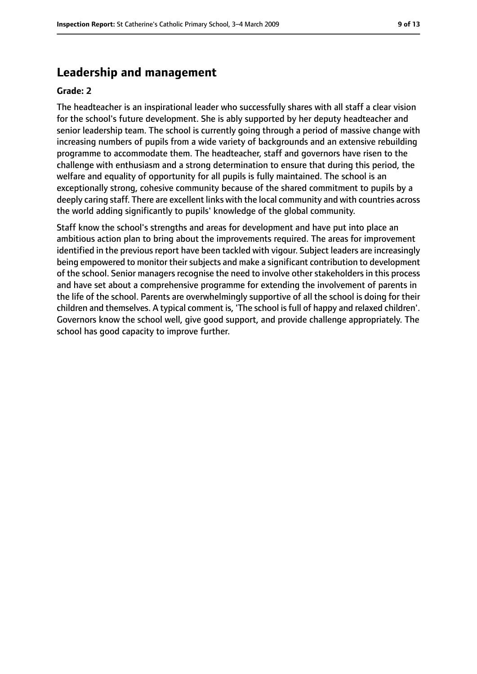# **Leadership and management**

#### **Grade: 2**

The headteacher is an inspirational leader who successfully shares with all staff a clear vision for the school's future development. She is ably supported by her deputy headteacher and senior leadership team. The school is currently going through a period of massive change with increasing numbers of pupils from a wide variety of backgrounds and an extensive rebuilding programme to accommodate them. The headteacher, staff and governors have risen to the challenge with enthusiasm and a strong determination to ensure that during this period, the welfare and equality of opportunity for all pupils is fully maintained. The school is an exceptionally strong, cohesive community because of the shared commitment to pupils by a deeply caring staff. There are excellent links with the local community and with countries across the world adding significantly to pupils' knowledge of the global community.

Staff know the school's strengths and areas for development and have put into place an ambitious action plan to bring about the improvements required. The areas for improvement identified in the previous report have been tackled with vigour. Subject leaders are increasingly being empowered to monitor their subjects and make a significant contribution to development of the school. Senior managers recognise the need to involve other stakeholders in this process and have set about a comprehensive programme for extending the involvement of parents in the life of the school. Parents are overwhelmingly supportive of all the school is doing for their children and themselves. A typical comment is, 'The school is full of happy and relaxed children'. Governors know the school well, give good support, and provide challenge appropriately. The school has good capacity to improve further.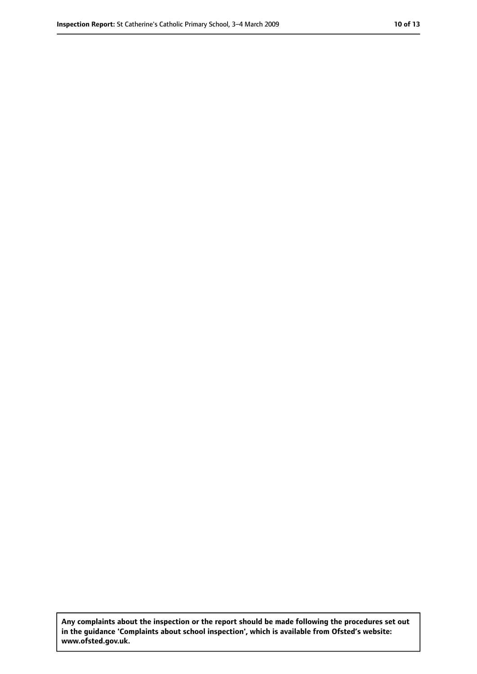**Any complaints about the inspection or the report should be made following the procedures set out in the guidance 'Complaints about school inspection', which is available from Ofsted's website: www.ofsted.gov.uk.**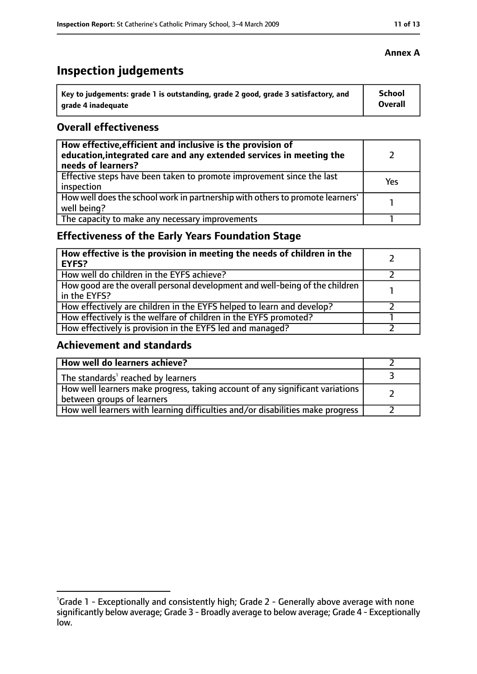# **Inspection judgements**

| Key to judgements: grade 1 is outstanding, grade 2 good, grade 3 satisfactory, and | <b>School</b> |
|------------------------------------------------------------------------------------|---------------|
| arade 4 inadequate                                                                 | Overall       |

## **Overall effectiveness**

| How effective, efficient and inclusive is the provision of<br>education, integrated care and any extended services in meeting the<br>needs of learners? |     |
|---------------------------------------------------------------------------------------------------------------------------------------------------------|-----|
| Effective steps have been taken to promote improvement since the last<br>inspection                                                                     | Yes |
| How well does the school work in partnership with others to promote learners'<br>well being?                                                            |     |
| The capacity to make any necessary improvements                                                                                                         |     |

# **Effectiveness of the Early Years Foundation Stage**

| How effective is the provision in meeting the needs of children in the<br>l EYFS?            |  |
|----------------------------------------------------------------------------------------------|--|
| How well do children in the EYFS achieve?                                                    |  |
| How good are the overall personal development and well-being of the children<br>in the EYFS? |  |
| How effectively are children in the EYFS helped to learn and develop?                        |  |
| How effectively is the welfare of children in the EYFS promoted?                             |  |
| How effectively is provision in the EYFS led and managed?                                    |  |

# **Achievement and standards**

| How well do learners achieve?                                                                               |  |
|-------------------------------------------------------------------------------------------------------------|--|
| The standards <sup>1</sup> reached by learners                                                              |  |
| How well learners make progress, taking account of any significant variations<br>between groups of learners |  |
| How well learners with learning difficulties and/or disabilities make progress                              |  |

## **Annex A**

<sup>&</sup>lt;sup>1</sup>Grade 1 - Exceptionally and consistently high; Grade 2 - Generally above average with none significantly below average; Grade 3 - Broadly average to below average; Grade 4 - Exceptionally low.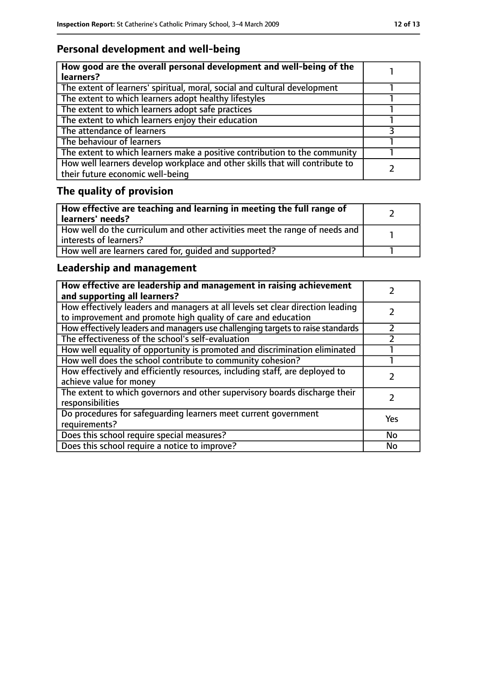# **Personal development and well-being**

| How good are the overall personal development and well-being of the<br>learners?                                 |  |
|------------------------------------------------------------------------------------------------------------------|--|
| The extent of learners' spiritual, moral, social and cultural development                                        |  |
| The extent to which learners adopt healthy lifestyles                                                            |  |
| The extent to which learners adopt safe practices                                                                |  |
| The extent to which learners enjoy their education                                                               |  |
| The attendance of learners                                                                                       |  |
| The behaviour of learners                                                                                        |  |
| The extent to which learners make a positive contribution to the community                                       |  |
| How well learners develop workplace and other skills that will contribute to<br>their future economic well-being |  |

# **The quality of provision**

| How effective are teaching and learning in meeting the full range of<br>learners' needs?              |  |
|-------------------------------------------------------------------------------------------------------|--|
| How well do the curriculum and other activities meet the range of needs and<br>interests of learners? |  |
| How well are learners cared for, quided and supported?                                                |  |

# **Leadership and management**

| How effective are leadership and management in raising achievement<br>and supporting all learners?                                              |     |
|-------------------------------------------------------------------------------------------------------------------------------------------------|-----|
| How effectively leaders and managers at all levels set clear direction leading<br>to improvement and promote high quality of care and education |     |
| How effectively leaders and managers use challenging targets to raise standards                                                                 |     |
| The effectiveness of the school's self-evaluation                                                                                               |     |
| How well equality of opportunity is promoted and discrimination eliminated                                                                      |     |
| How well does the school contribute to community cohesion?                                                                                      |     |
| How effectively and efficiently resources, including staff, are deployed to<br>achieve value for money                                          |     |
| The extent to which governors and other supervisory boards discharge their<br>responsibilities                                                  |     |
| Do procedures for safequarding learners meet current government<br>requirements?                                                                | Yes |
| Does this school require special measures?                                                                                                      | No  |
| Does this school require a notice to improve?                                                                                                   | No  |